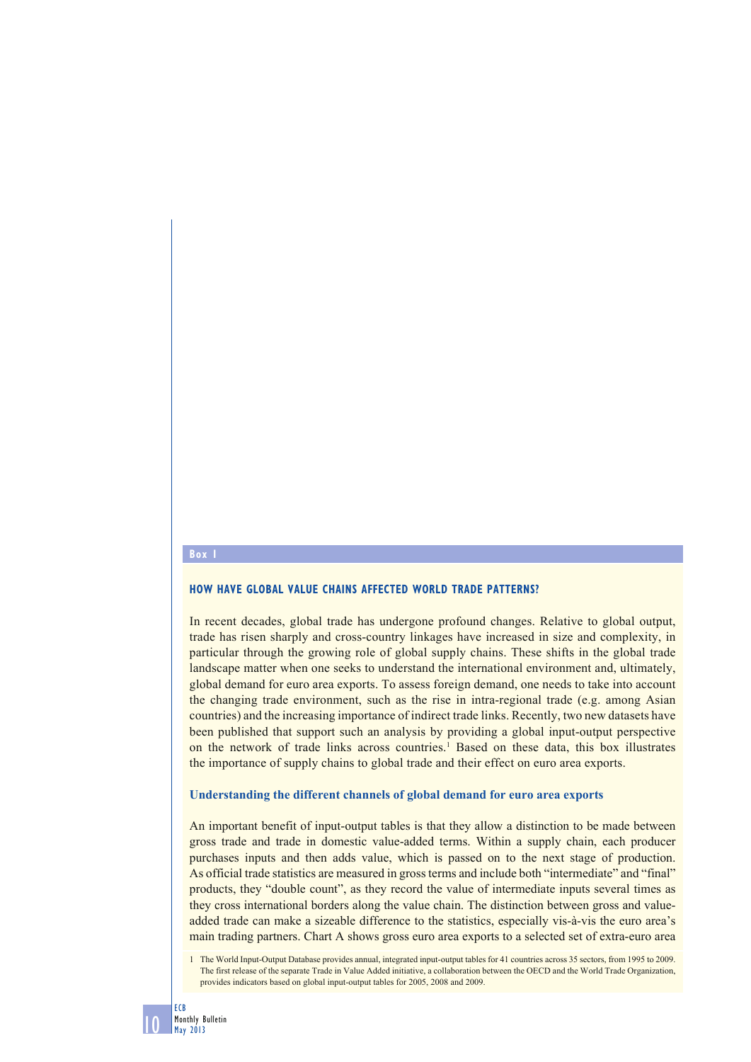### **Box 1**

## **HOW HAVE GLOBAL VALUE CHAINS AFFECTED WORLD TRADE PATTERNS?**

In recent decades, global trade has undergone profound changes. Relative to global output, trade has risen sharply and cross-country linkages have increased in size and complexity, in particular through the growing role of global supply chains. These shifts in the global trade landscape matter when one seeks to understand the international environment and, ultimately, global demand for euro area exports. To assess foreign demand, one needs to take into account the changing trade environment, such as the rise in intra-regional trade (e.g. among Asian countries) and the increasing importance of indirect trade links. Recently, two new datasets have been published that support such an analysis by providing a global input-output perspective on the network of trade links across countries.<sup>1</sup> Based on these data, this box illustrates the importance of supply chains to global trade and their effect on euro area exports.

### **Understanding the different channels of global demand for euro area exports**

An important benefit of input-output tables is that they allow a distinction to be made between gross trade and trade in domestic value-added terms. Within a supply chain, each producer purchases inputs and then adds value, which is passed on to the next stage of production. As official trade statistics are measured in gross terms and include both "intermediate" and "final" products, they "double count", as they record the value of intermediate inputs several times as they cross international borders along the value chain. The distinction between gross and valueadded trade can make a sizeable difference to the statistics, especially vis-à-vis the euro area's main trading partners. Chart A shows gross euro area exports to a selected set of extra-euro area

10

<sup>1</sup> The World Input-Output Database provides annual, integrated input-output tables for 41 countries across 35 sectors, from 1995 to 2009. The first release of the separate Trade in Value Added initiative, a collaboration between the OECD and the World Trade Organization, provides indicators based on global input-output tables for 2005, 2008 and 2009.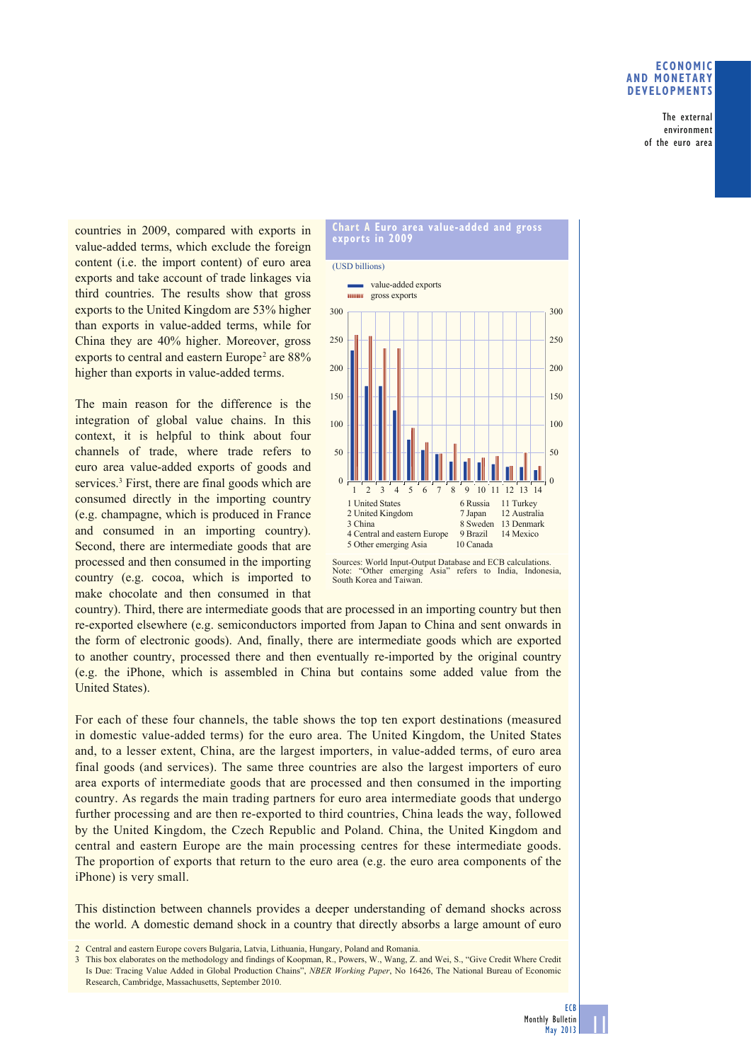## **ECONOMIC AND MONETARY DEVELOPMENTS**

The external environment of the euro area

countries in 2009, compared with exports in value-added terms, which exclude the foreign content (i.e. the import content) of euro area exports and take account of trade linkages via third countries. The results show that gross exports to the United Kingdom are 53% higher than exports in value-added terms, while for China they are 40% higher. Moreover, gross exports to central and eastern Europe<sup>2</sup> are  $88\%$ higher than exports in value-added terms.

The main reason for the difference is the integration of global value chains. In this context, it is helpful to think about four channels of trade, where trade refers to euro area value-added exports of goods and services.<sup>3</sup> First, there are final goods which are consumed directly in the importing country (e.g. champagne, which is produced in France and consumed in an importing country). Second, there are intermediate goods that are processed and then consumed in the importing country (e.g. cocoa, which is imported to make chocolate and then consumed in that



Sources: World Input-Output Database and ECB calculations. Note: "Other emerging Asia" refers to India, Indonesia, South Korea and Taiwan.

country). Third, there are intermediate goods that are processed in an importing country but then re-exported elsewhere (e.g. semiconductors imported from Japan to China and sent onwards in the form of electronic goods). And, finally, there are intermediate goods which are exported to another country, processed there and then eventually re-imported by the original country (e.g. the iPhone, which is assembled in China but contains some added value from the United States).

For each of these four channels, the table shows the top ten export destinations (measured in domestic value-added terms) for the euro area. The United Kingdom, the United States and, to a lesser extent, China, are the largest importers, in value-added terms, of euro area final goods (and services). The same three countries are also the largest importers of euro area exports of intermediate goods that are processed and then consumed in the importing country. As regards the main trading partners for euro area intermediate goods that undergo further processing and are then re-exported to third countries, China leads the way, followed by the United Kingdom, the Czech Republic and Poland. China, the United Kingdom and central and eastern Europe are the main processing centres for these intermediate goods. The proportion of exports that return to the euro area (e.g. the euro area components of the iPhone) is very small.

This distinction between channels provides a deeper understanding of demand shocks across the world. A domestic demand shock in a country that directly absorbs a large amount of euro

11

<sup>2</sup> Central and eastern Europe covers Bulgaria, Latvia, Lithuania, Hungary, Poland and Romania.

<sup>3</sup> This box elaborates on the methodology and findings of Koopman, R., Powers, W., Wang, Z. and Wei, S., "Give Credit Where Credit Is Due: Tracing Value Added in Global Production Chains", *NBER Working Paper*, No 16426, The National Bureau of Economic Research, Cambridge, Massachusetts, September 2010.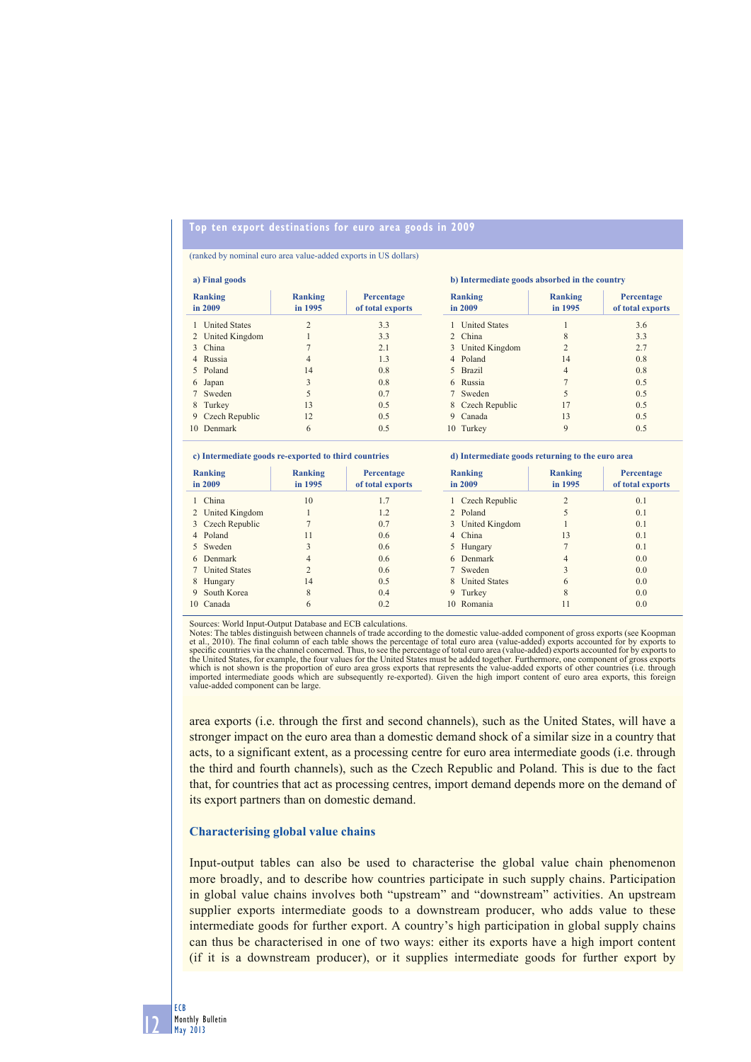# **Top ten export destinations for euro area goods in 2009**

#### (ranked by nominal euro area value-added exports in US dollars)

|                      |                                                                                                                                                                         |                                       | b) Intermediate goods absorbed in the country |                           |                                       |  |
|----------------------|-------------------------------------------------------------------------------------------------------------------------------------------------------------------------|---------------------------------------|-----------------------------------------------|---------------------------|---------------------------------------|--|
|                      | <b>Ranking</b><br>in 1995                                                                                                                                               | <b>Percentage</b><br>of total exports | Ranking<br>in 2009                            | <b>Ranking</b><br>in 1995 | <b>Percentage</b><br>of total exports |  |
| <b>United States</b> | 2                                                                                                                                                                       | 3.3                                   | 1 United States                               |                           | 3.6                                   |  |
|                      |                                                                                                                                                                         | 3.3                                   | 2 China                                       | $\mathbf{8}$              | 3.3                                   |  |
|                      |                                                                                                                                                                         | 2.1                                   |                                               |                           | 2.7                                   |  |
|                      | $\overline{4}$                                                                                                                                                          | 1.3                                   | 4 Poland                                      | 14                        | 0.8                                   |  |
|                      | 14                                                                                                                                                                      | 0.8                                   | 5 Brazil                                      | 4                         | 0.8                                   |  |
|                      | 3                                                                                                                                                                       | 0.8                                   | 6 Russia                                      |                           | 0.5                                   |  |
|                      | 5                                                                                                                                                                       | 0.7                                   | 7 Sweden                                      |                           | 0.5                                   |  |
|                      | 13                                                                                                                                                                      | 0.5                                   | 8 Czech Republic                              | 17                        | 0.5                                   |  |
|                      | 12                                                                                                                                                                      | 0.5                                   | 9 Canada                                      | 13                        | 0.5                                   |  |
|                      | 6                                                                                                                                                                       | 0.5                                   | 10 Turkey                                     | 9                         | 0.5                                   |  |
|                      | a) Final goods<br><b>Ranking</b><br>in 2009<br>2 United Kingdom<br>3 China<br>4 Russia<br>5 Poland<br>6 Japan<br>7 Sweden<br>8 Turkey<br>9 Czech Republic<br>10 Denmark |                                       |                                               |                           | 3 United Kingdom                      |  |

### **c) Intermediate goods re-exported to third countries**

| Ranking<br>in 2009 |                  | <b>Ranking</b><br>in 1995 | Percentage<br>of total exports | Ranking<br>in 2009 |                      | <b>Ranking</b><br>in 1995 | Percentage<br>of total exports |
|--------------------|------------------|---------------------------|--------------------------------|--------------------|----------------------|---------------------------|--------------------------------|
|                    | 1 China          | 10                        | 1.7                            |                    | 1 Czech Republic     | $\bigcap$                 | 0.1                            |
|                    | 2 United Kingdom |                           | 1.2                            |                    | 2 Poland             |                           | 0.1                            |
|                    | 3 Czech Republic |                           | 0.7                            |                    | 3 United Kingdom     |                           | 0.1                            |
|                    | 4 Poland         | 11                        | 0.6                            |                    | 4 China              | 13                        | 0.1                            |
|                    | 5 Sweden         | 3                         | 0.6                            |                    | 5 Hungary            |                           | 0.1                            |
|                    | 6 Denmark        | 4                         | 0.6                            |                    | 6 Denmark            | 4                         | 0.0                            |
|                    | 7 United States  | $\overline{c}$            | 0.6                            |                    | 7 Sweden             |                           | 0.0                            |
| 8                  | Hungary          | 14                        | 0.5                            | 8.                 | <b>United States</b> | 6                         | 0.0                            |
|                    | 9 South Korea    | 8                         | 0.4                            |                    | 9 Turkey             | 8                         | 0.0                            |
|                    | 10 Canada        | 6                         | 0.2                            |                    | 10 Romania           | 11                        | 0.0                            |

**d) Intermediate goods returning to the euro area**

Sources: World Input-Output Database and ECB calculations.

Notes: The tables distinguish between channels of trade according to the domestic value-added component of gross exports (see Koopman et al., 2010). The final column of each table shows the percentage of total euro area (value-added) exports accounted for by exports to<br>specific countries via the channel concerned. Thus, to see the percentage of total eur which is not shown is the proportion of euro area gross exports that represents the value-added exports of other countries (i.e. through<br>imported intermediate goods which are subsequently re-exported). Given the high impor value-added component can be large.

area exports (i.e. through the first and second channels), such as the United States, will have a stronger impact on the euro area than a domestic demand shock of a similar size in a country that acts, to a significant extent, as a processing centre for euro area intermediate goods (i.e. through the third and fourth channels), such as the Czech Republic and Poland. This is due to the fact that, for countries that act as processing centres, import demand depends more on the demand of its export partners than on domestic demand.

### **Characterising global value chains**

Input-output tables can also be used to characterise the global value chain phenomenon more broadly, and to describe how countries participate in such supply chains. Participation in global value chains involves both "upstream" and "downstream" activities. An upstream supplier exports intermediate goods to a downstream producer, who adds value to these intermediate goods for further export. A country's high participation in global supply chains can thus be characterised in one of two ways: either its exports have a high import content (if it is a downstream producer), or it supplies intermediate goods for further export by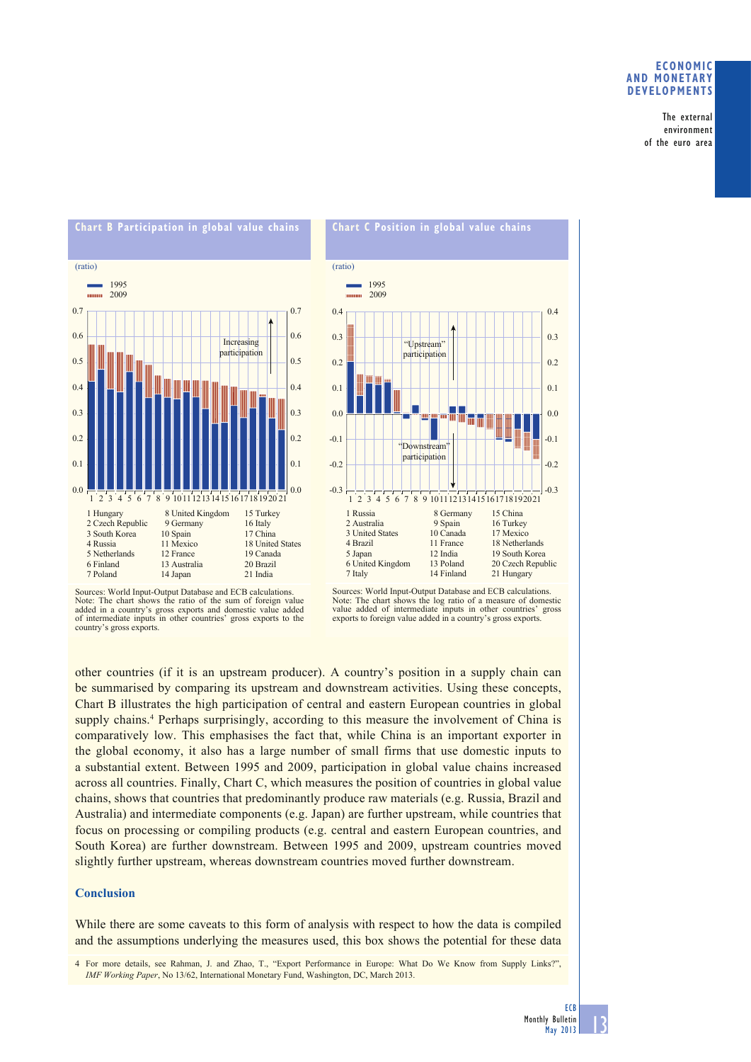## **ECONOMIC AND MONETARY DEVELOPMENTS**

The external environment of the euro area





Sources: World Input-Output Database and ECB calculations. Note: The chart shows the ratio of the sum of foreign value added in a country's gross exports and domestic value added of intermediate inputs in other countries' gross exports to the country's gross exports.



other countries (if it is an upstream producer). A country's position in a supply chain can be summarised by comparing its upstream and downstream activities. Using these concepts, Chart B illustrates the high participation of central and eastern European countries in global supply chains.<sup>4</sup> Perhaps surprisingly, according to this measure the involvement of China is comparatively low. This emphasises the fact that, while China is an important exporter in the global economy, it also has a large number of small firms that use domestic inputs to a substantial extent. Between 1995 and 2009, participation in global value chains increased across all countries. Finally, Chart C, which measures the position of countries in global value chains, shows that countries that predominantly produce raw materials (e.g. Russia, Brazil and Australia) and intermediate components (e.g. Japan) are further upstream, while countries that focus on processing or compiling products (e.g. central and eastern European countries, and South Korea) are further downstream. Between 1995 and 2009, upstream countries moved slightly further upstream, whereas downstream countries moved further downstream.

## **Conclusion**

While there are some caveats to this form of analysis with respect to how the data is compiled and the assumptions underlying the measures used, this box shows the potential for these data

4 For more details, see Rahman, J. and Zhao, T., "Export Performance in Europe: What Do We Know from Supply Links?", *IMF Working Paper*, No 13/62, International Monetary Fund, Washington, DC, March 2013.